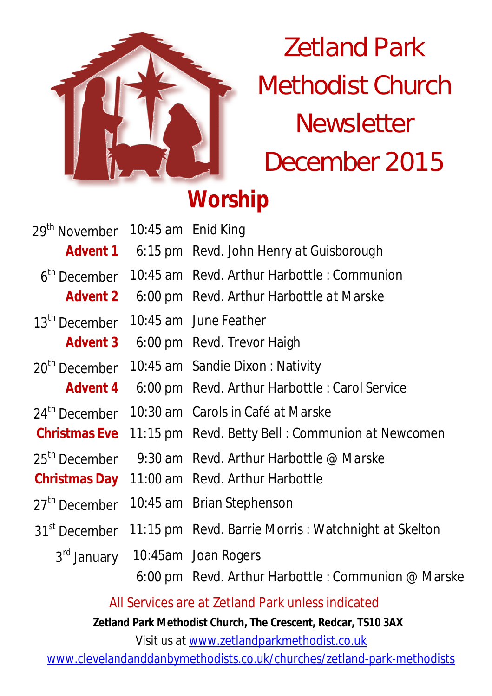

# Zetland Park Methodist Church **Newsletter** December 2015

# **Worship**

| 29 <sup>th</sup> November | 10:45 am Enid King |                                                     |
|---------------------------|--------------------|-----------------------------------------------------|
| <b>Advent 1</b>           |                    | 6:15 pm Revd. John Henry at Guisborough             |
| 6 <sup>th</sup> December  |                    | 10:45 am Revd. Arthur Harbottle: Communion          |
| <b>Advent 2</b>           |                    | 6:00 pm Revd. Arthur Harbottle at Marske            |
| 13 <sup>th</sup> December |                    | 10:45 am June Feather                               |
| <b>Advent 3</b>           |                    | 6:00 pm Revd. Trevor Haigh                          |
| 20 <sup>th</sup> December |                    | 10:45 am Sandie Dixon: Nativity                     |
| <b>Advent 4</b>           |                    | 6:00 pm Revd. Arthur Harbottle: Carol Service       |
| 24 <sup>th</sup> December |                    | 10:30 am Carols in Café at Marske                   |
| <b>Christmas Eve</b>      |                    | 11:15 pm Revd. Betty Bell: Communion at Newcomen    |
| 25 <sup>th</sup> December |                    | 9:30 am Revd. Arthur Harbottle @ Marske             |
| <b>Christmas Day</b>      |                    | 11:00 am Revd. Arthur Harbottle                     |
| 27 <sup>th</sup> December |                    | 10:45 am Brian Stephenson                           |
| 31 <sup>st</sup> December |                    | 11:15 pm Revd. Barrie Morris: Watchnight at Skelton |
|                           |                    | 3rd January 10:45am Joan Rogers                     |
|                           |                    | 6:00 pm Revd. Arthur Harbottle: Communion @ Marske  |

All Services are at Zetland Park unless indicated

**Zetland Park Methodist Church, The Crescent, Redcar, TS10 3AX**

Visit us at www.zetlandparkmethodist.co.uk

www.clevelandanddanbymethodists.co.uk/churches/zetland-park-methodists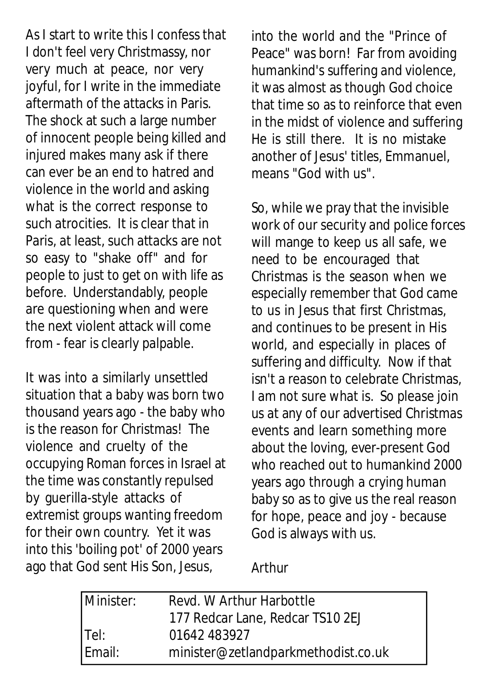As I start to write this I confess that I don't feel very Christmassy, nor very much at peace, nor very joyful, for I write in the immediate aftermath of the attacks in Paris. The shock at such a large number of innocent people being killed and injured makes many ask if there can ever be an end to hatred and violence in the world and asking what is the correct response to such atrocities. It is clear that in Paris, at least, such attacks are not so easy to "shake off" and for people to just to get on with life as before. Understandably, people are questioning when and were the next violent attack will come from - fear is clearly palpable.

It was into a similarly unsettled situation that a baby was born two thousand years ago - the baby who is the reason for Christmas! The violence and cruelty of the occupying Roman forces in Israel at the time was constantly repulsed by guerilla-style attacks of extremist groups wanting freedom for their own country. Yet it was into this 'boiling pot' of 2000 years ago that God sent His Son, Jesus,

into the world and the "Prince of Peace" was born! Far from avoiding humankind's suffering and violence, it was almost as though God choice that time so as to reinforce that even in the midst of violence and suffering He is still there. It is no mistake another of Jesus' titles, Emmanuel, means "God with us".

So, while we pray that the invisible work of our security and police forces will mange to keep us all safe, we need to be encouraged that Christmas is the season when we especially remember that God came to us in Jesus that first Christmas, and continues to be present in His world, and especially in places of suffering and difficulty. Now if that isn't a reason to celebrate Christmas, I am not sure what is. So please join us at any of our advertised Christmas events and learn something more about the loving, ever-present God who reached out to humankind 2000 years ago through a crying human baby so as to give us the real reason for hope, peace and joy - because God is always with us.

Arthur

| Minister: | Revd. W Arthur Harbottle            |  |  |
|-----------|-------------------------------------|--|--|
|           | 177 Redcar Lane, Redcar TS10 2EJ    |  |  |
| Tel:      | 01642 483927                        |  |  |
| Email:    | minister@zetlandparkmethodist.co.uk |  |  |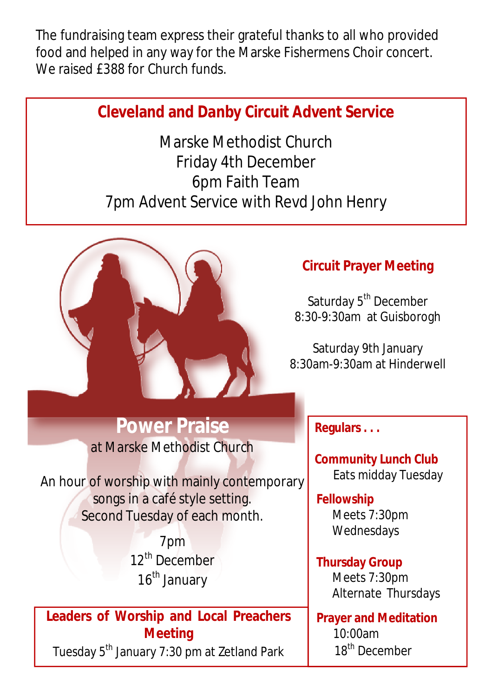The fundraising team express their grateful thanks to all who provided food and helped in any way for the Marske Fishermens Choir concert. We raised **£388** for Church funds.

### **Cleveland and Danby Circuit Advent Service**

Marske Methodist Church Friday 4th December 6pm Faith Team 7pm Advent Service with Revd John Henry



#### **Circuit Prayer Meeting**

Saturday 5<sup>th</sup> December 8:30-9:30am at Guisborogh

Saturday 9th January 8:30am-9:30am at Hinderwell

## **Power Praise**

at Marske Methodist Church

An hour of worship with mainly contemporary songs in a café style setting. Second Tuesday of each month.

> 7pm 12<sup>th</sup> December 16<sup>th</sup> January

#### **Leaders of Worship and Local Preachers Meeting**

Tuesday 5<sup>th</sup> January 7:30 pm at Zetland Park

**Regulars . . .**

**Community Lunch Club** Eats midday Tuesday

#### **Fellowship** Meets 7:30pm Wednesdays

**Thursday Group** Meets 7:30pm Alternate Thursdays

**Prayer and Meditation**  10:00am 18<sup>th</sup> December